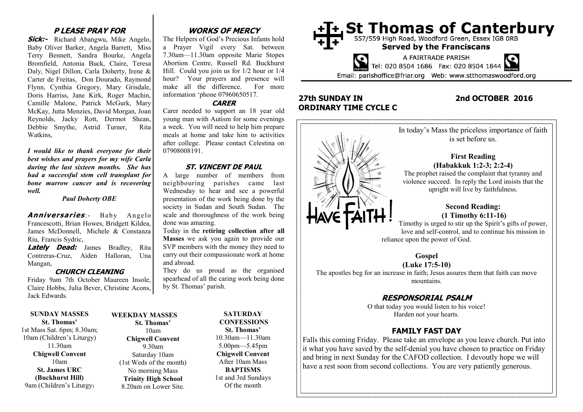## **P LEASE PRAY FOR**

**Sick:-** Richard Abangwu, Mike Angelo, Baby Oliver Barker, Angela Barrett, Miss Terry Bennett, Sandra Bourke, Angela Bromfield, Antonia Buck, Claire, Teresa Daly, Nigel Dillon, Carla Doherty, Irene & Carter de Freitas, Don Dourado, Raymond Flynn, Cynthia Gregory, Mary Grisdale, Doris Harriss, Jane Kirk, Roger Machin, Camille Malone, Patrick McGurk, Mary McKay, Jutta Menzies, David Morgan, Joan Reynolds, Jacky Rott, Dermot Shean, Debbie Smythe, Astrid Turner, Rita Watkins,

*I would like to thank everyone for their best wishes and prayers for my wife Carla during the last sixteen months. She has had a successful stem cell transplant for bone marrow cancer and is recovering well.*

*Paul Doherty OBE*

**Anniversaries**: Baby Angelo Francescotti, Brian Howes, Bridgett Kildea, James McDonnell, Michele & Constanza Riu, Francis Sydric,

**Lately Dead:** James Bradley, Rita Contreras-Cruz, Aiden Halloran, Una Mangan,

#### **CHURCH CLEANING**

Friday 9am 7th October Maureen Insole, Claire Hobbs, Julia Bever, Christine Acons, Jack Edwards.

**SUNDAY MASSES St. Thomas'**

1st Mass Sat. 6pm; 8.30am; 10am (Children's Liturgy) 11.30am **Chigwell Convent** 10am **St. James URC (Buckhurst Hill)** 9am (Children's Liturgy)

#### **St. Thomas'** 10am **Chigwell Convent** 9.30am Saturday 10am (1st Weds of the month) No morning Mass **Trinity High School** 8.20am on Lower Site.

**WEEKDAY MASSES**

# **WORKS OF MERCY**

The Helpers of God's Precious Infants hold a Prayer Vigil every Sat. between 7.30am—11.30am opposite Marie Stopes Abortion Centre, Russell Rd. Buckhurst Hill. Could you join us for 1/2 hour or 1/4 hour? Your prayers and presence will make all the difference. For more information 'phone 07960650517.

#### **CARER**

Carer needed to support an 18 year old young man with Autism for some evenings a week. You will need to help him prepare meals at home and take him to activities after college. Please contact Celestina on 07908008191.

#### **ST. VINCENT DE PAUL**

A large number of members from neighbouring parishes came last Wednesday to hear and see a powerful presentation of the work being done by the society in Sudan and South Sudan. The scale and thoroughness of the work being done was amazing.

Today in the **retiring collection after all Masses** we ask you again to provide our SVP members with the money they need to carry out their compassionate work at home and abroad.

They do us proud as the organised spearhead of all the caring work being done by St. Thomas' parish.

#### **SATURDAY CONFESSIONS St. Thomas'** 10.30am—11.30am 5.00pm—5.45pm **Chigwell Convent** After 10am Mass **BAPTISMS**

1st and 3rd Sundays Of the month



# **27th SUNDAY IN 2nd OCTOBER 2016 ORDINARY TIME CYCLE C**



mountains.

# **RESPONSORIAL PSALM**

O that today you would listen to his voice! Harden not your hearts.

# **FAMILY FAST DAY**

Falls this coming Friday. Please take an envelope as you leave church. Put into it what you have saved by the self-denial you have chosen to practice on Friday and bring in next Sunday for the CAFOD collection. I devoutly hope we will have a rest soon from second collections. You are very patiently generous.